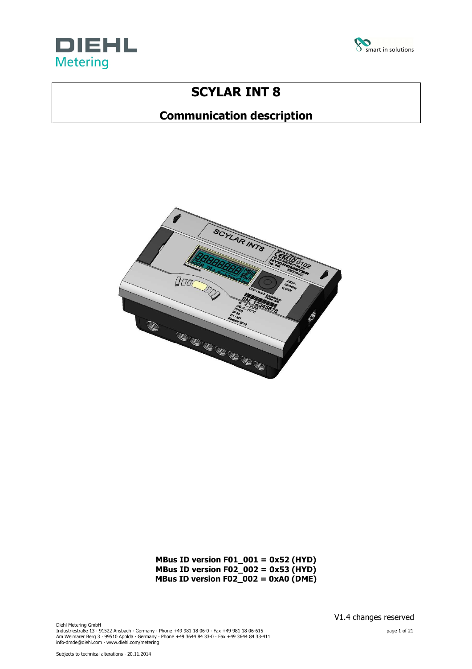



# **SCYLAR INT 8**

# **Communication description**



**MBus ID version F01\_001 = 0x52 (HYD) MBus ID version F02\_002 = 0x53 (HYD) MBus ID version F02\_002 = 0xA0 (DME)** 

Diehl Metering GmbH Industriestraße 13 · 91522 Ansbach · Germany · Phone +49 981 18 06-0 · Fax +49 981 18 06-615<br>Am Weimarer Berg 3 · 99510 Apolda · Germany · Phone +49 3644 84 33-0 · Fax +49 3644 84 33-411<br>info-dmde@diehl.com · www.diehl.com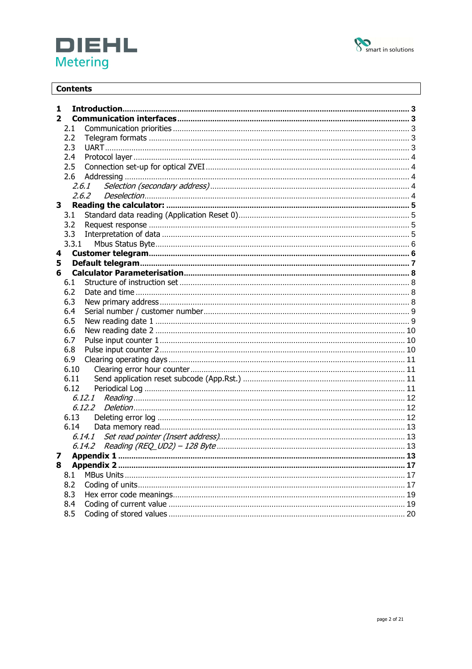



# **Contents**

| 1              |       |    |
|----------------|-------|----|
| $\overline{2}$ |       |    |
| 2.1            |       |    |
| 2.2            |       |    |
| 2.3            |       |    |
| 2.4            |       |    |
| 2.5            |       |    |
| 2.6            |       |    |
|                | 2.6.1 |    |
|                |       |    |
| 3              |       |    |
| 3.1            |       |    |
| 3.2            |       |    |
| 3.3            |       |    |
| 3.3.1          |       |    |
| 4              |       |    |
| 5              |       |    |
| 6              |       |    |
| 6.1            |       |    |
| 6.2            |       |    |
| 6.3            |       |    |
| 6.4            |       |    |
| 6.5            |       |    |
| 6.6            |       |    |
| 6.7            |       |    |
| 6.8            |       |    |
| 6.9            |       |    |
| 6.10           |       |    |
| 6.11           |       |    |
| 6.12           |       |    |
|                |       |    |
|                |       |    |
| 6.13           |       |    |
| 6.14           |       |    |
|                |       |    |
|                |       |    |
|                |       | 13 |
| 8              |       |    |
| 8.1            |       |    |
| 8.2            |       |    |
| 8.3            |       |    |
| 8.4            |       |    |
| 8.5            |       |    |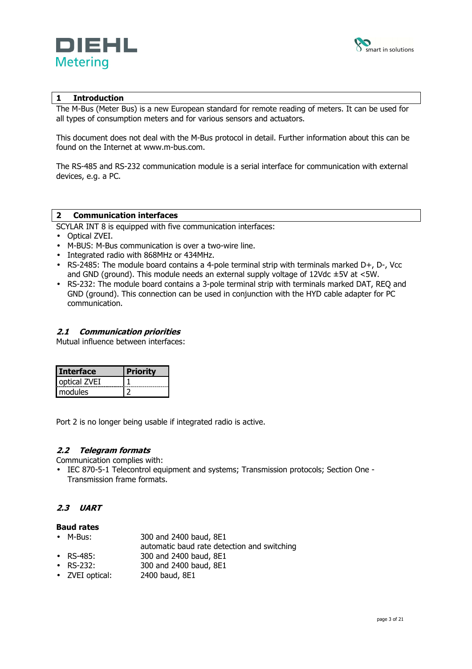



# **1 Introduction**

The M-Bus (Meter Bus) is a new European standard for remote reading of meters. It can be used for all types of consumption meters and for various sensors and actuators.

This document does not deal with the M-Bus protocol in detail. Further information about this can be found on the Internet at www.m-bus.com.

The RS-485 and RS-232 communication module is a serial interface for communication with external devices, e.g. a PC.

#### **2 Communication interfaces**

SCYLAR INT 8 is equipped with five communication interfaces:

- Optical ZVEI.
- M-BUS: M-Bus communication is over a two-wire line.
- Integrated radio with 868MHz or 434MHz.
- RS-2485: The module board contains a 4-pole terminal strip with terminals marked D+, D-, Vcc and GND (ground). This module needs an external supply voltage of  $12Vdc \pm 5V$  at  $\lt 5W$ .
- RS-232: The module board contains a 3-pole terminal strip with terminals marked DAT, REQ and GND (ground). This connection can be used in conjunction with the HYD cable adapter for PC communication.

#### **2.1 Communication priorities**

Mutual influence between interfaces:

| <b>Interface</b> |  |
|------------------|--|
| optical ZVEI     |  |
| modules          |  |

Port 2 is no longer being usable if integrated radio is active.

# **2.2 Telegram formats**

Communication complies with:

• IEC 870-5-1 Telecontrol equipment and systems; Transmission protocols; Section One - Transmission frame formats.

# **2.3 UART**

# **Baud rates**

- M-Bus: 300 and 2400 baud, 8E1
- automatic baud rate detection and switching
- RS-485: 300 and 2400 baud, 8E1
- RS-232: 300 and 2400 baud, 8E1
- ZVEI optical: 2400 baud, 8E1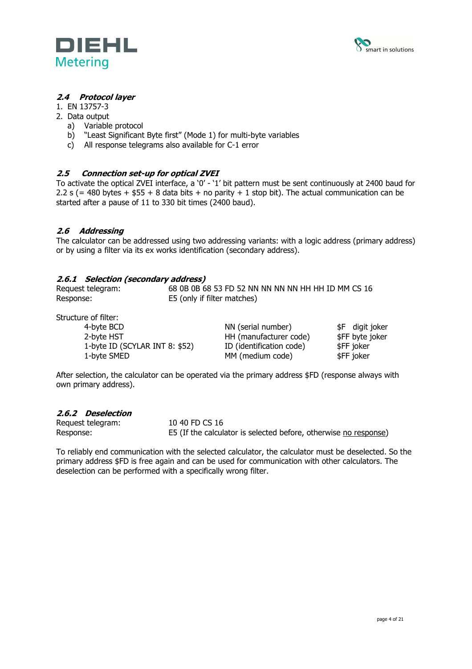



# **2.4 Protocol layer**

- 1. EN 13757-3
- 2. Data output
	- a) Variable protocol
	- b) "Least Significant Byte first" (Mode 1) for multi-byte variables
	- c) All response telegrams also available for C-1 error

# **2.5 Connection set-up for optical ZVEI**

To activate the optical ZVEI interface, a '0' - '1' bit pattern must be sent continuously at 2400 baud for 2.2 s (= 480 bytes +  $$55 + 8$  data bits + no parity + 1 stop bit). The actual communication can be started after a pause of 11 to 330 bit times (2400 baud).

# **2.6 Addressing**

The calculator can be addressed using two addressing variants: with a logic address (primary address) or by using a filter via its ex works identification (secondary address).

# **2.6.1 Selection (secondary address)**

| Request telegram: | 68 0B 0B 68 53 FD 52 NN NN NN NN HH HH ID MM CS 16 |
|-------------------|----------------------------------------------------|
| Response:         | E5 (only if filter matches)                        |

Structure of filter:

| 4-byte BCD                     | NN (serial number)       | \$F digit joker |
|--------------------------------|--------------------------|-----------------|
| 2-byte HST                     | HH (manufacturer code)   | \$FF byte joker |
| 1-byte ID (SCYLAR INT 8: \$52) | ID (identification code) | \$FF joker      |
| 1-byte SMED                    | MM (medium code)         | \$FF joker      |

After selection, the calculator can be operated via the primary address \$FD (response always with own primary address).

# **2.6.2 Deselection**

| Request telegram: | 10 40 FD CS 16                                                   |
|-------------------|------------------------------------------------------------------|
| Response:         | E5 (If the calculator is selected before, otherwise no response) |

To reliably end communication with the selected calculator, the calculator must be deselected. So the primary address \$FD is free again and can be used for communication with other calculators. The deselection can be performed with a specifically wrong filter.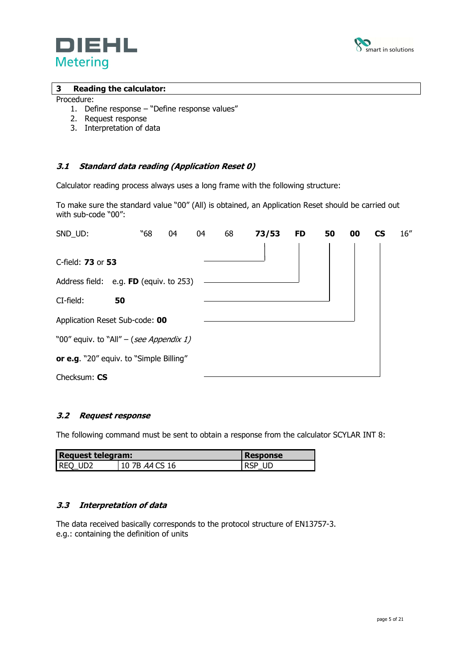



#### **3 Reading the calculator:**

#### Procedure:

- 1. Define response "Define response values"
- 2. Request response
- 3. Interpretation of data

# **3.1 Standard data reading (Application Reset 0)**

Calculator reading process always uses a long frame with the following structure:

To make sure the standard value "00" (All) is obtained, an Application Reset should be carried out with sub-code "00":

| SND_UD:                                 | "68 | 04 | 04 | 68 | 73/53 | <b>FD</b> | 50 | 00 | CS | 16'' |
|-----------------------------------------|-----|----|----|----|-------|-----------|----|----|----|------|
|                                         |     |    |    |    |       |           |    |    |    |      |
| C-field: 73 or 53                       |     |    |    |    |       |           |    |    |    |      |
| Address field: e.g. FD (equiv. to 253)  |     |    |    |    |       |           |    |    |    |      |
| CI-field:<br>50                         |     |    |    |    |       |           |    |    |    |      |
| Application Reset Sub-code: 00          |     |    |    |    |       |           |    |    |    |      |
| "00" equiv. to "All" – (see Appendix 1) |     |    |    |    |       |           |    |    |    |      |
| or e.g. "20" equiv. to "Simple Billing" |     |    |    |    |       |           |    |    |    |      |
| Checksum: CS                            |     |    |    |    |       |           |    |    |    |      |

# **3.2 Request response**

The following command must be sent to obtain a response from the calculator SCYLAR INT 8:

| <b>Request telegram:</b> | Response       |        |
|--------------------------|----------------|--------|
| REQ UD2                  | 10 7B AA CS 16 | RSP UD |

#### **3.3 Interpretation of data**

The data received basically corresponds to the protocol structure of EN13757-3. e.g.: containing the definition of units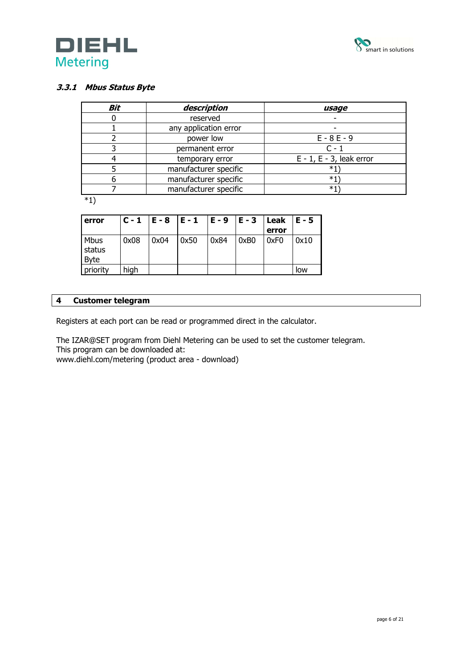



# **3.3.1 Mbus Status Byte**

| Bit      | description           | usage                          |
|----------|-----------------------|--------------------------------|
|          | reserved              |                                |
|          | any application error |                                |
|          | power low             | $E - 8E - 9$                   |
|          | permanent error       | $C - 1$                        |
|          | temporary error       | $E - 1$ , $E - 3$ , leak error |
|          | manufacturer specific | *1`                            |
|          | manufacturer specific | *1`                            |
|          | manufacturer specific | *1                             |
| $\cdots$ |                       |                                |

\*1)

| error                  |      |      | $C - 1$   E - 8   E - 1   E - 9   E - 3 |      |      | Leak $ E - 5 $<br>error |      |
|------------------------|------|------|-----------------------------------------|------|------|-------------------------|------|
| Mbus<br>status<br>Byte | 0x08 | 0x04 | 0x50                                    | 0x84 | 0xB0 | 0xF0                    | 0x10 |
| priority               | high |      |                                         |      |      |                         | low  |

# **4 Customer telegram**

Registers at each port can be read or programmed direct in the calculator.

The IZAR@SET program from Diehl Metering can be used to set the customer telegram. This program can be downloaded at:

www.diehl.com/metering (product area - download)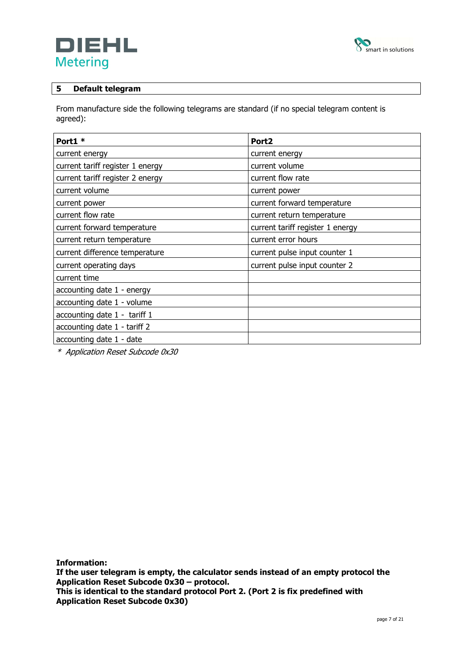



# **5 Default telegram**

From manufacture side the following telegrams are standard (if no special telegram content is agreed):

| Port1 *                          | Port <sub>2</sub>                |
|----------------------------------|----------------------------------|
| current energy                   | current energy                   |
| current tariff register 1 energy | current volume                   |
| current tariff register 2 energy | current flow rate                |
| current volume                   | current power                    |
| current power                    | current forward temperature      |
| current flow rate                | current return temperature       |
| current forward temperature      | current tariff register 1 energy |
| current return temperature       | current error hours              |
| current difference temperature   | current pulse input counter 1    |
| current operating days           | current pulse input counter 2    |
| current time                     |                                  |
| accounting date 1 - energy       |                                  |
| accounting date 1 - volume       |                                  |
| accounting date 1 - tariff 1     |                                  |
| accounting date 1 - tariff 2     |                                  |
| accounting date 1 - date         |                                  |

\* Application Reset Subcode 0x30

**Information:** 

**If the user telegram is empty, the calculator sends instead of an empty protocol the Application Reset Subcode 0x30 – protocol.** 

**This is identical to the standard protocol Port 2. (Port 2 is fix predefined with Application Reset Subcode 0x30)**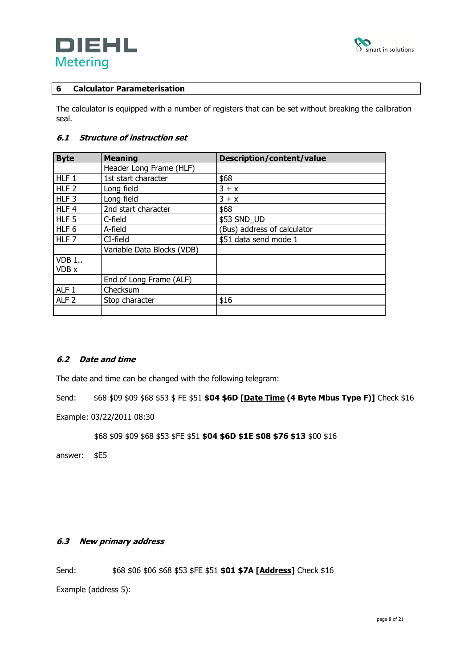



# **6 Calculator Parameterisation**

The calculator is equipped with a number of registers that can be set without breaking the calibration seal.

# **6.1 Structure of instruction set**

| <b>Byte</b>      | <b>Meaning</b>             | Description/content/value   |
|------------------|----------------------------|-----------------------------|
|                  | Header Long Frame (HLF)    |                             |
| HLF <sub>1</sub> | 1st start character        | \$68                        |
| HLF <sub>2</sub> | Long field                 | $3 + x$                     |
| HLF <sub>3</sub> | Long field                 | $3 + x$                     |
| HLF4             | 2nd start character        | \$68                        |
| HLF <sub>5</sub> | C-field                    | \$53 SND UD                 |
| HLF 6            | A-field                    | (Bus) address of calculator |
| HLF <sub>7</sub> | CI-field                   | \$51 data send mode 1       |
|                  | Variable Data Blocks (VDB) |                             |
| $VDB$ 1          |                            |                             |
| VDB x            |                            |                             |
|                  | End of Long Frame (ALF)    |                             |
| ALF <sub>1</sub> | Checksum                   |                             |
| ALF <sub>2</sub> | Stop character             | \$16                        |
|                  |                            |                             |

# **6.2 Date and time**

The date and time can be changed with the following telegram:

Send: \$68 \$09 \$09 \$68 \$53 \$ FE \$51 **\$04 \$6D [Date Time (4 Byte Mbus Type F)]** Check \$16

Example: 03/22/2011 08:30

\$68 \$09 \$09 \$68 \$53 \$FE \$51 **\$04 \$6D \$1E \$08 \$76 \$13** \$00 \$16

answer: \$E5

# **6.3 New primary address**

Send: \$68 \$06 \$06 \$68 \$53 \$FE \$51 **\$01 \$7A [Address]** Check \$16

Example (address 5):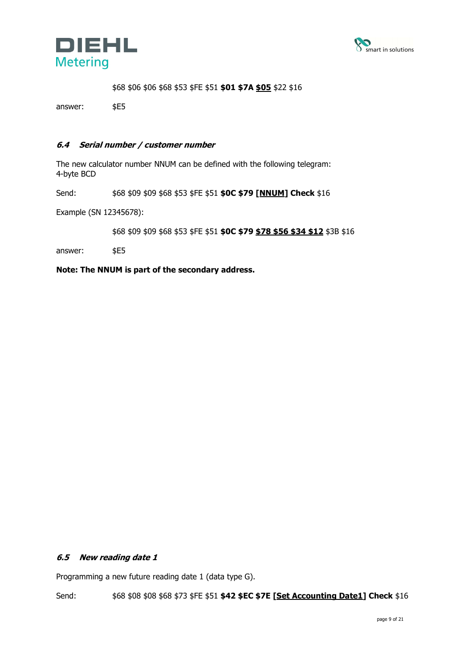



\$68 \$06 \$06 \$68 \$53 \$FE \$51 **\$01 \$7A \$05** \$22 \$16

answer: \$E5

#### **6.4 Serial number / customer number**

The new calculator number NNUM can be defined with the following telegram: 4-byte BCD

Send: \$68 \$09 \$09 \$68 \$53 \$FE \$51 **\$0C \$79 [NNUM] Check** \$16

Example (SN 12345678):

\$68 \$09 \$09 \$68 \$53 \$FE \$51 **\$0C \$79 \$78 \$56 \$34 \$12** \$3B \$16

answer: \$E5

**Note: The NNUM is part of the secondary address.** 

# **6.5 New reading date 1**

Programming a new future reading date 1 (data type G).

Send: \$68 \$08 \$08 \$68 \$73 \$FE \$51 **\$42 \$EC \$7E [Set Accounting Date1] Check** \$16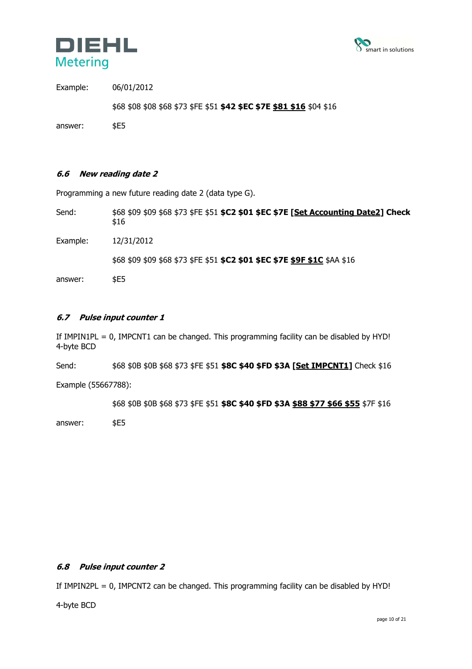



Example: 06/01/2012

\$68 \$08 \$08 \$68 \$73 \$FE \$51 **\$42 \$EC \$7E \$81 \$16** \$04 \$16

answer: \$E5

# **6.6 New reading date 2**

Programming a new future reading date 2 (data type G).

Send: \$68 \$09 \$09 \$68 \$73 \$FE \$51 **\$C2 \$01 \$EC \$7E [Set Accounting Date2] Check** \$16 Example: 12/31/2012 \$68 \$09 \$09 \$68 \$73 \$FE \$51 **\$C2 \$01 \$EC \$7E \$9F \$1C** \$AA \$16 answer: \$E5

# **6.7 Pulse input counter 1**

If IMPIN1PL = 0, IMPCNT1 can be changed. This programming facility can be disabled by HYD! 4-byte BCD

Send: \$68 \$0B \$0B \$68 \$73 \$FE \$51 **\$8C \$40 \$FD \$3A [Set IMPCNT1]** Check \$16

Example (55667788):

\$68 \$0B \$0B \$68 \$73 \$FE \$51 **\$8C \$40 \$FD \$3A \$88 \$77 \$66 \$55** \$7F \$16

answer: \$E5

# **6.8 Pulse input counter 2**

If IMPIN2PL = 0, IMPCNT2 can be changed. This programming facility can be disabled by HYD!

4-byte BCD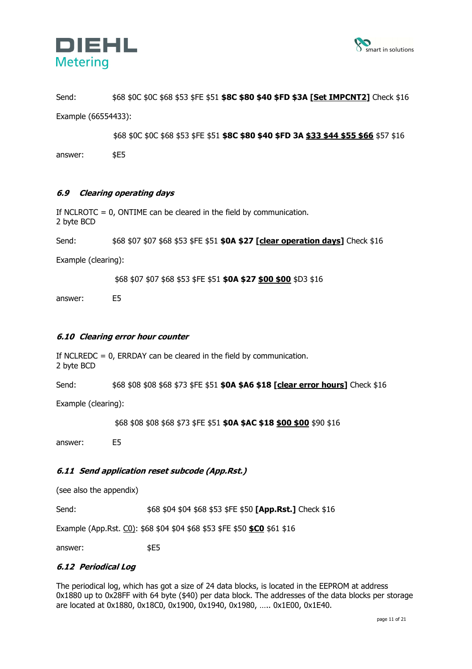



Send: \$68 \$0C \$0C \$68 \$53 \$FE \$51 **\$8C \$80 \$40 \$FD \$3A [Set IMPCNT2]** Check \$16 Example (66554433):

\$68 \$0C \$0C \$68 \$53 \$FE \$51 **\$8C \$80 \$40 \$FD 3A \$33 \$44 \$55 \$66** \$57 \$16 answer: \$E5

# **6.9 Clearing operating days**

If NCLROTC = 0, ONTIME can be cleared in the field by communication. 2 byte BCD

Send: \$68 \$07 \$07 \$68 \$53 \$FE \$51 **\$0A \$27 [clear operation days]** Check \$16

Example (clearing):

\$68 \$07 \$07 \$68 \$53 \$FE \$51 **\$0A \$27 \$00 \$00** \$D3 \$16

answer: E5

#### **6.10 Clearing error hour counter**

If NCLREDC = 0, ERRDAY can be cleared in the field by communication. 2 byte BCD

Send: \$68 \$08 \$08 \$68 \$73 \$FE \$51 **\$0A \$A6 \$18 [clear error hours]** Check \$16

Example (clearing):

\$68 \$08 \$08 \$68 \$73 \$FE \$51 **\$0A \$AC \$18 \$00 \$00** \$90 \$16

answer: E5

# **6.11 Send application reset subcode (App.Rst.)**

(see also the appendix)

Send: \$68 \$04 \$04 \$68 \$53 \$FE \$50 **[App.Rst.]** Check \$16

Example (App.Rst. C0): \$68 \$04 \$04 \$68 \$53 \$FE \$50 **\$C0** \$61 \$16

answer: \$E5

#### **6.12 Periodical Log**

The periodical log, which has got a size of 24 data blocks, is located in the EEPROM at address 0x1880 up to 0x28FF with 64 byte (\$40) per data block. The addresses of the data blocks per storage are located at 0x1880, 0x18C0, 0x1900, 0x1940, 0x1980, ….. 0x1E00, 0x1E40.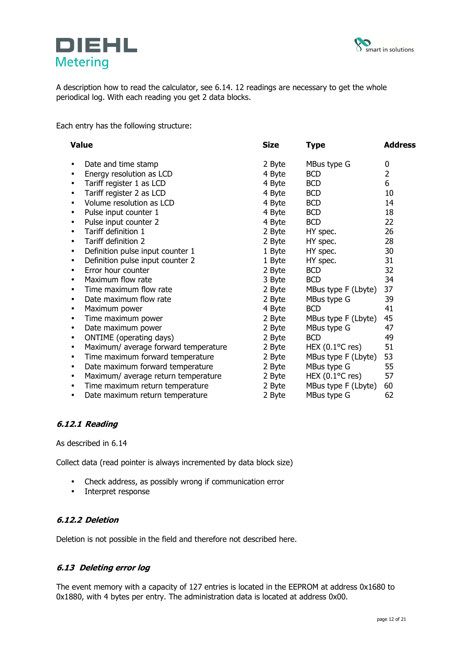



A description how to read the calculator, see 6.14. 12 readings are necessary to get the whole periodical log. With each reading you get 2 data blocks.

Each entry has the following structure:

|           | <b>Value</b>                         | <b>Size</b> | <b>Type</b>                    | <b>Address</b> |
|-----------|--------------------------------------|-------------|--------------------------------|----------------|
| ٠         | Date and time stamp                  | 2 Byte      | MBus type G                    | 0              |
|           | Energy resolution as LCD             | 4 Byte      | <b>BCD</b>                     | $\overline{2}$ |
|           | Tariff register 1 as LCD             | 4 Byte      | <b>BCD</b>                     | 6              |
|           | Tariff register 2 as LCD             | 4 Byte      | <b>BCD</b>                     | 10             |
| ٠         | Volume resolution as LCD             | 4 Byte      | <b>BCD</b>                     | 14             |
|           | Pulse input counter 1                | 4 Byte      | <b>BCD</b>                     | 18             |
|           | Pulse input counter 2                | 4 Byte      | <b>BCD</b>                     | 22             |
|           | Tariff definition 1                  | 2 Byte      | HY spec.                       | 26             |
| ٠         | Tariff definition 2                  | 2 Byte      | HY spec.                       | 28             |
|           | Definition pulse input counter 1     | 1 Byte      | HY spec.                       | 30             |
|           | Definition pulse input counter 2     | 1 Byte      | HY spec.                       | 31             |
| ٠         | Error hour counter                   | 2 Byte      | <b>BCD</b>                     | 32             |
| $\bullet$ | Maximum flow rate                    | 3 Byte      | <b>BCD</b>                     | 34             |
|           | Time maximum flow rate               | 2 Byte      | MBus type F (Lbyte)            | 37             |
|           | Date maximum flow rate               | 2 Byte      | MBus type G                    | 39             |
| ٠         | Maximum power                        | 4 Byte      | <b>BCD</b>                     | 41             |
| $\bullet$ | Time maximum power                   | 2 Byte      | MBus type F (Lbyte)            | 45             |
|           | Date maximum power                   | 2 Byte      | MBus type G                    | 47             |
|           | <b>ONTIME</b> (operating days)       | 2 Byte      | <b>BCD</b>                     | 49             |
| ٠         | Maximum/ average forward temperature | 2 Byte      | HEX $(0.1$ <sup>o</sup> C res) | 51             |
| $\bullet$ | Time maximum forward temperature     | 2 Byte      | MBus type F (Lbyte)            | 53             |
| ٠         | Date maximum forward temperature     | 2 Byte      | MBus type G                    | 55             |
| $\bullet$ | Maximum/ average return temperature  | 2 Byte      | HEX $(0.1$ <sup>o</sup> C res) | 57             |
|           | Time maximum return temperature      | 2 Byte      | MBus type F (Lbyte)            | 60             |
| ٠         | Date maximum return temperature      | 2 Byte      | MBus type G                    | 62             |

# **6.12.1 Reading**

As described in 6.14

Collect data (read pointer is always incremented by data block size)

- Check address, as possibly wrong if communication error
- Interpret response

# **6.12.2 Deletion**

Deletion is not possible in the field and therefore not described here.

#### **6.13 Deleting error log**

The event memory with a capacity of 127 entries is located in the EEPROM at address 0x1680 to 0x1880, with 4 bytes per entry. The administration data is located at address 0x00.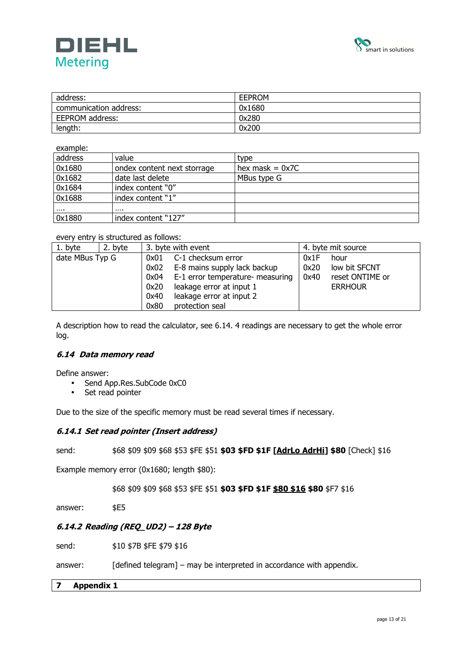



| address:               | <b>EEPROM</b> |
|------------------------|---------------|
| communication address: | 0x1680        |
| EEPROM address:        | 0x280         |
| length:                | 0x200         |

example:

| address  | value                       | type              |
|----------|-----------------------------|-------------------|
| 0x1680   | ondex content next storrage | hex mask $= 0x7C$ |
| 0x1682   | date last delete            | MBus type G       |
| 0x1684   | index content "0"           |                   |
| 0x1688   | index content "1"           |                   |
| $\cdots$ |                             |                   |
| 0x1880   | index content "127"         |                   |

#### every entry is structured as follows:

| 1. byte         | 2. byte |      | 3. byte with event               | 4. byte mit source |                 |  |
|-----------------|---------|------|----------------------------------|--------------------|-----------------|--|
| date MBus Typ G |         | 0x01 | C-1 checksum error               | 0x1F               | hour            |  |
|                 |         | 0x02 | E-8 mains supply lack backup     | 0x20               | low bit SFCNT   |  |
|                 | 0x04    |      | E-1 error temperature- measuring | 0x40               | reset ONTIME or |  |
|                 |         | 0x20 | leakage error at input 1         |                    | <b>ERRHOUR</b>  |  |
|                 |         | 0x40 | leakage error at input 2         |                    |                 |  |
|                 |         | 0x80 | protection seal                  |                    |                 |  |

A description how to read the calculator, see 6.14. 4 readings are necessary to get the whole error log.

# **6.14 Data memory read**

Define answer:

- Send App.Res.SubCode 0xC0
- Set read pointer

Due to the size of the specific memory must be read several times if necessary.

# **6.14.1 Set read pointer (Insert address)**

send: \$68 \$09 \$09 \$68 \$53 \$FE \$51 **\$03 \$FD \$1F [AdrLo AdrHi] \$80** [Check] \$16

Example memory error (0x1680; length \$80):

\$68 \$09 \$09 \$68 \$53 \$FE \$51 **\$03 \$FD \$1F \$80 \$16 \$80** \$F7 \$16

answer: \$E5

# **6.14.2 Reading (REQ\_UD2) – 128 Byte**

send:  $$10 $7B $FE $79 $16$ 

answer: [defined telegram] – may be interpreted in accordance with appendix.

# **7 Appendix 1**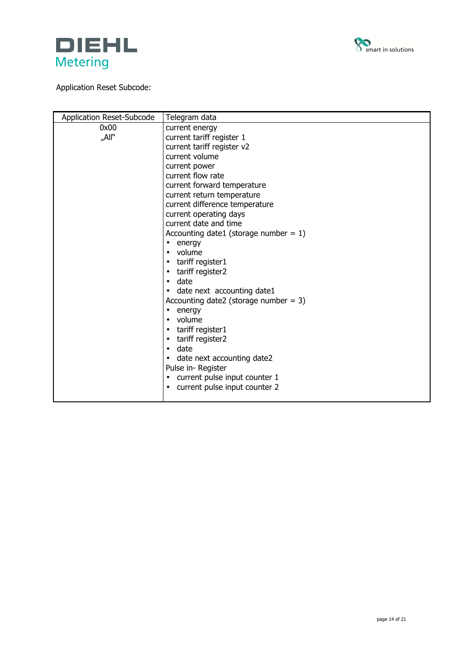



# Application Reset Subcode:

| Application Reset-Subcode | Telegram data                                                   |  |
|---------------------------|-----------------------------------------------------------------|--|
| 0x00                      | current energy                                                  |  |
| "All"                     | current tariff register 1                                       |  |
|                           | current tariff register v2                                      |  |
|                           | current volume                                                  |  |
|                           | current power                                                   |  |
|                           | current flow rate                                               |  |
|                           | current forward temperature                                     |  |
|                           | current return temperature                                      |  |
|                           | current difference temperature                                  |  |
|                           | current operating days                                          |  |
|                           | current date and time                                           |  |
|                           | Accounting date1 (storage number = $1$ )                        |  |
|                           | energy<br>$\bullet$                                             |  |
|                           | volume<br>$\bullet$                                             |  |
|                           | tariff register1<br>$\bullet$                                   |  |
|                           | tariff register2<br>$\bullet$                                   |  |
|                           | date<br>$\bullet$                                               |  |
|                           | date next accounting date1                                      |  |
|                           | Accounting date2 (storage number = 3)                           |  |
|                           | energy<br>٠                                                     |  |
|                           | volume                                                          |  |
|                           | tariff register1<br>$\bullet$                                   |  |
|                           | tariff register2<br>$\bullet$                                   |  |
|                           | date<br>$\bullet$                                               |  |
|                           | date next accounting date2                                      |  |
|                           | Pulse in-Register<br>current pulse input counter 1<br>$\bullet$ |  |
|                           | current pulse input counter 2                                   |  |
|                           |                                                                 |  |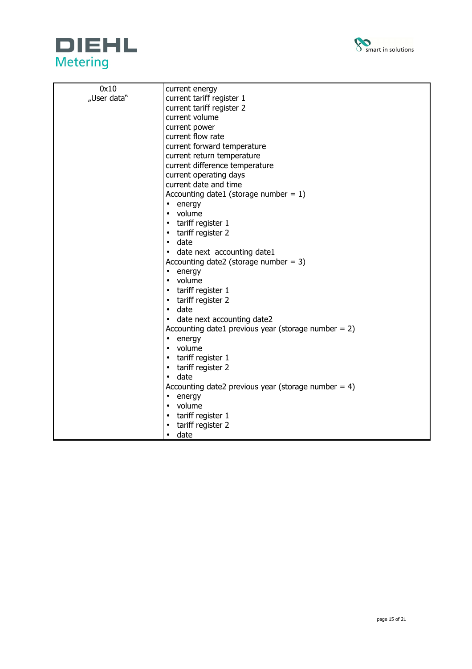



| 0x10        | current energy                                         |  |  |
|-------------|--------------------------------------------------------|--|--|
| "User data" | current tariff register 1                              |  |  |
|             | current tariff register 2                              |  |  |
|             | current volume                                         |  |  |
|             | current power                                          |  |  |
|             | current flow rate                                      |  |  |
|             | current forward temperature                            |  |  |
|             | current return temperature                             |  |  |
|             | current difference temperature                         |  |  |
|             | current operating days                                 |  |  |
|             | current date and time                                  |  |  |
|             | Accounting date1 (storage number = $1$ )               |  |  |
|             | $\bullet$ energy                                       |  |  |
|             | • volume                                               |  |  |
|             | tariff register 1<br>$\bullet$                         |  |  |
|             | • tariff register 2                                    |  |  |
|             | $\bullet$ date                                         |  |  |
|             | date next accounting date1<br>$\bullet$                |  |  |
|             | Accounting date2 (storage number = $3$ )               |  |  |
|             | $\bullet$ energy                                       |  |  |
|             | • volume                                               |  |  |
|             | tariff register 1<br>٠                                 |  |  |
|             | tariff register 2<br>٠                                 |  |  |
|             | $\bullet$ date                                         |  |  |
|             | date next accounting date2<br>$\bullet$                |  |  |
|             | Accounting date1 previous year (storage number $= 2$ ) |  |  |
|             | energy<br>٠                                            |  |  |
|             | volume<br>$\bullet$                                    |  |  |
|             | tariff register 1<br>٠                                 |  |  |
|             | tariff register 2<br>٠                                 |  |  |
|             | date<br>$\bullet$                                      |  |  |
|             | Accounting date2 previous year (storage number = $4$ ) |  |  |
|             | energy<br>٠                                            |  |  |
|             | volume<br>$\bullet$                                    |  |  |
|             | tariff register 1<br>$\bullet$                         |  |  |
|             | tariff register 2<br>$\bullet$                         |  |  |
|             | date<br>$\bullet$                                      |  |  |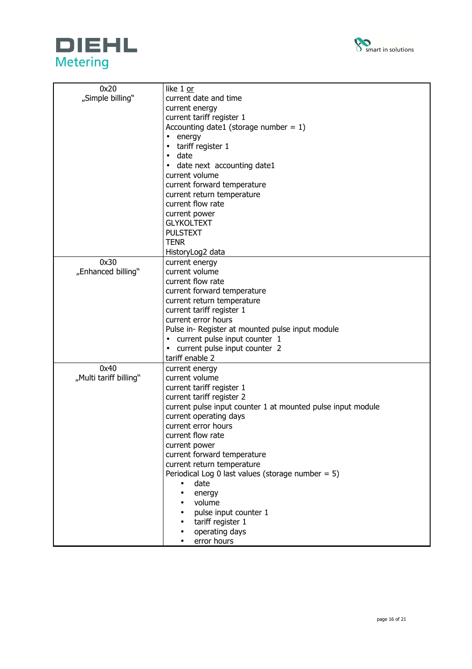



| 0x20                   | like 1 or                                                   |
|------------------------|-------------------------------------------------------------|
| "Simple billing"       | current date and time                                       |
|                        | current energy                                              |
|                        | current tariff register 1                                   |
|                        | Accounting date1 (storage number = $1$ )                    |
|                        | energy<br>$\bullet$                                         |
|                        | tariff register 1<br>$\bullet$                              |
|                        | date<br>$\bullet$                                           |
|                        | date next accounting date1<br>$\bullet$                     |
|                        | current volume                                              |
|                        |                                                             |
|                        | current forward temperature                                 |
|                        | current return temperature                                  |
|                        | current flow rate                                           |
|                        | current power                                               |
|                        | <b>GLYKOLTEXT</b>                                           |
|                        | <b>PULSTEXT</b>                                             |
|                        | <b>TENR</b>                                                 |
|                        | HistoryLog2 data                                            |
| 0x30                   | current energy                                              |
| "Enhanced billing"     | current volume                                              |
|                        | current flow rate                                           |
|                        | current forward temperature                                 |
|                        | current return temperature                                  |
|                        | current tariff register 1                                   |
|                        | current error hours                                         |
|                        | Pulse in- Register at mounted pulse input module            |
|                        | current pulse input counter 1<br>$\bullet$                  |
|                        | current pulse input counter 2                               |
|                        | tariff enable 2                                             |
| 0x40                   | current energy                                              |
| "Multi tariff billing" | current volume                                              |
|                        | current tariff register 1                                   |
|                        | current tariff register 2                                   |
|                        | current pulse input counter 1 at mounted pulse input module |
|                        | current operating days                                      |
|                        | current error hours                                         |
|                        | current flow rate                                           |
|                        | current power                                               |
|                        | current forward temperature                                 |
|                        | current return temperature                                  |
|                        | Periodical Log 0 last values (storage number = $5$ )        |
|                        | date<br>$\bullet$                                           |
|                        |                                                             |
|                        | energy<br>$\bullet$<br>volume                               |
|                        | pulse input counter 1                                       |
|                        |                                                             |
|                        | tariff register 1                                           |
|                        | operating days                                              |
|                        | error hours                                                 |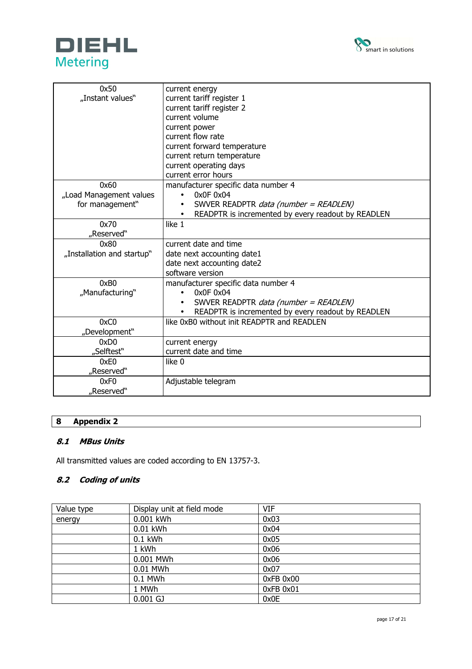



| 0x50                       | current energy                                     |
|----------------------------|----------------------------------------------------|
| "Instant values"           | current tariff register 1                          |
|                            | current tariff register 2                          |
|                            | current volume                                     |
|                            | current power                                      |
|                            | current flow rate                                  |
|                            | current forward temperature                        |
|                            | current return temperature                         |
|                            | current operating days                             |
|                            | current error hours                                |
| 0x60                       | manufacturer specific data number 4                |
| "Load Management values    | 0x0F 0x04                                          |
| for management"            | SWVER READPTR data (number = READLEN)              |
|                            | READPTR is incremented by every readout by READLEN |
| 0x70                       | like 1                                             |
| "Reserved"                 |                                                    |
| 0x80                       | current date and time                              |
| "Installation and startup" | date next accounting date1                         |
|                            | date next accounting date2                         |
|                            | software version                                   |
| 0xB0                       | manufacturer specific data number 4                |
| "Manufacturing"            | 0x0F 0x04<br>$\bullet$                             |
|                            | SWVER READPTR <i>data (number = READLEN)</i>       |
|                            | READPTR is incremented by every readout by READLEN |
| 0xC0                       | like 0xB0 without init READPTR and READLEN         |
| "Development"              |                                                    |
| 0xD0                       | current energy                                     |
| "Selftest"                 | current date and time                              |
| 0xE0                       | like 0                                             |
| "Reserved"                 |                                                    |
| 0xF <sub>0</sub>           | Adjustable telegram                                |
| "Reserved"                 |                                                    |

# **8 Appendix 2**

# **8.1 MBus Units**

All transmitted values are coded according to EN 13757-3.

# **8.2 Coding of units**

| Value type | Display unit at field mode | <b>VIF</b> |
|------------|----------------------------|------------|
| energy     | 0.001 kWh                  | 0x03       |
|            | 0.01 kWh                   | 0x04       |
|            | $0.1$ kWh                  | 0x05       |
|            | 1 kWh                      | 0x06       |
|            | 0.001 MWh                  | 0x06       |
|            | 0.01 MWh                   | 0x07       |
|            | 0.1 MWh                    | 0xFB 0x00  |
|            | 1 MWh                      | 0xFB 0x01  |
|            | $0.001$ GJ                 | 0x0E       |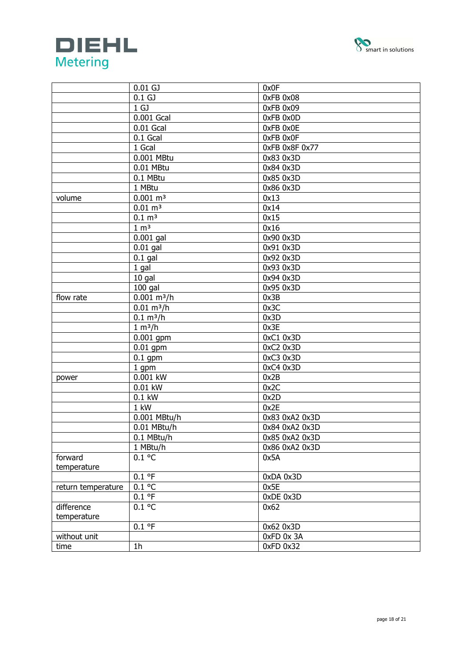



|                    | $0.01$ GJ                 | 0x0F           |
|--------------------|---------------------------|----------------|
|                    | 0.1 <sub>GJ</sub>         | 0xFB 0x08      |
|                    | 1 <sub>GJ</sub>           | 0xFB 0x09      |
|                    | 0.001 Gcal                | 0xFB 0x0D      |
|                    | $0.01$ Gcal               | 0xFB 0x0E      |
|                    | 0.1 Gcal                  | OxFB OxOF      |
|                    | 1 Gcal                    | OxFB 0x8F 0x77 |
|                    | 0.001 MBtu                | 0x83 0x3D      |
|                    | 0.01 MBtu                 | 0x84 0x3D      |
|                    | 0.1 MBtu                  | 0x85 0x3D      |
|                    | 1 MBtu                    | 0x86 0x3D      |
| volume             | $0.001 \text{ m}^3$       | 0x13           |
|                    | $0.01 \; \text{m}^3$      | 0x14           |
|                    | $0.1 \, \text{m}^3$       | 0x15           |
|                    | 1 m <sup>3</sup>          | 0x16           |
|                    | $0.001$ gal               | 0x90 0x3D      |
|                    | $0.01$ gal                | 0x91 0x3D      |
|                    | $0.1$ gal                 | 0x92 0x3D      |
|                    | 1 gal                     | 0x93 0x3D      |
|                    | $10$ gal                  | 0x94 0x3D      |
|                    | $100$ gal                 | 0x95 0x3D      |
| flow rate          | $0.001$ m <sup>3</sup> /h | 0x3B           |
|                    | $0.01 \text{ m}^3/h$      | 0x3C           |
|                    | $0.1 \text{ m}^3/h$       | 0x3D           |
|                    | 1 m <sup>3</sup> /h       | 0x3E           |
|                    | $0.001$ gpm               | $0xC1$ $0x3D$  |
|                    | $0.01$ gpm                | 0xC2 0x3D      |
|                    | $0.1$ gpm                 | 0xC3 0x3D      |
|                    | 1 gpm                     | 0xC4 0x3D      |
| power              | 0.001 kW                  | 0x2B           |
|                    | 0.01 kW                   | 0x2C           |
|                    | $0.1$ kW                  | 0x2D           |
|                    | 1 kW                      | 0x2E           |
|                    | 0.001 MBtu/h              | 0x83 0xA2 0x3D |
|                    | 0.01 MBtu/h               | 0x84 0xA2 0x3D |
|                    | 0.1 MBtu/h                | 0x85 0xA2 0x3D |
|                    | 1 MBtu/h                  | 0x86 0xA2 0x3D |
| forward            | $0.1$ °C                  | 0x5A           |
| temperature        |                           |                |
|                    | 0.1 °F                    | 0xDA 0x3D      |
| return temperature | $0.1$ °C                  | 0x5E           |
|                    | 0.1 °F                    | 0xDE 0x3D      |
| difference         | $0.1$ °C                  | 0x62           |
| temperature        |                           |                |
|                    | 0.1 °F                    | 0x62 0x3D      |
| without unit       |                           | 0xFD 0x 3A     |
| time               | 1 <sub>h</sub>            | 0xFD 0x32      |
|                    |                           |                |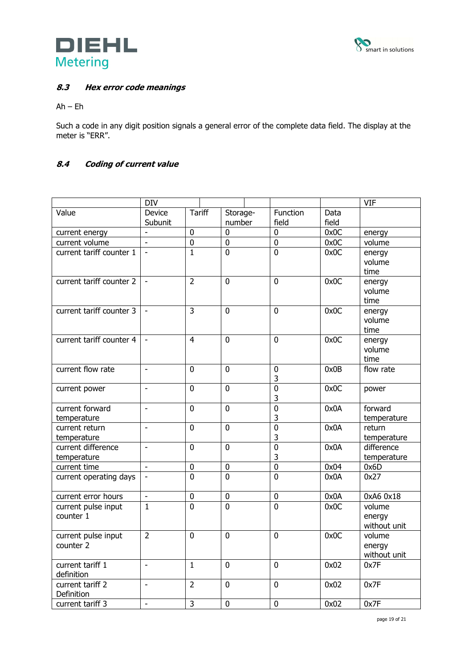



# **8.3 Hex error code meanings**

# Ah – Eh

Such a code in any digit position signals a general error of the complete data field. The display at the meter is "ERR".

# **8.4 Coding of current value**

|                          | <b>DIV</b>               |                |                |                |       | <b>VIF</b>   |
|--------------------------|--------------------------|----------------|----------------|----------------|-------|--------------|
| Value                    | Device                   | <b>Tariff</b>  | Storage-       | Function       | Data  |              |
|                          | Subunit                  |                | number         | field          | field |              |
| current energy           | $\mathbf{r}$             | $\mathbf 0$    | $\overline{0}$ | $\mathbf 0$    | 0x0C  | energy       |
| current volume           | $\blacksquare$           | $\mathbf 0$    | $\overline{0}$ | $\overline{0}$ | 0x0C  | volume       |
| current tariff counter 1 | $\blacksquare$           | $\mathbf{1}$   | $\overline{0}$ | $\overline{0}$ | 0x0C  | energy       |
|                          |                          |                |                |                |       | volume       |
|                          |                          |                |                |                |       | time         |
| current tariff counter 2 | $\overline{\phantom{a}}$ | $\overline{2}$ | $\overline{0}$ | $\mathbf{0}$   | 0x0C  | energy       |
|                          |                          |                |                |                |       | volume       |
|                          |                          |                |                |                |       | time         |
| current tariff counter 3 |                          | $\overline{3}$ | $\overline{0}$ | $\Omega$       | 0x0C  | energy       |
|                          |                          |                |                |                |       | volume       |
|                          |                          |                |                |                |       | time         |
| current tariff counter 4 | $\blacksquare$           | $\overline{4}$ | $\overline{0}$ | $\overline{0}$ | 0x0C  | energy       |
|                          |                          |                |                |                |       | volume       |
|                          |                          |                |                |                |       | time         |
| current flow rate        | ä,                       | $\mathbf 0$    | $\mathbf{0}$   | 0              | 0x0B  | flow rate    |
|                          |                          |                |                | 3              |       |              |
| current power            | $\overline{a}$           | $\mathbf 0$    | $\overline{0}$ | $\overline{0}$ | 0x0C  | power        |
|                          |                          |                |                | 3              |       |              |
| current forward          | $\overline{\phantom{a}}$ | $\mathbf 0$    | $\overline{0}$ | $\overline{0}$ | 0x0A  | forward      |
| temperature              |                          |                |                | 3              |       | temperature  |
| current return           | $\overline{a}$           | $\overline{0}$ | $\overline{0}$ | $\overline{0}$ | 0x0A  | return       |
| temperature              |                          |                |                | 3              |       | temperature  |
| current difference       | $\overline{\phantom{a}}$ | $\overline{0}$ | $\overline{0}$ | $\overline{0}$ | 0x0A  | difference   |
| temperature              |                          |                |                | 3              |       | temperature  |
| current time             | $\blacksquare$           | $\mathbf 0$    | $\pmb{0}$      | $\overline{0}$ | 0x04  | 0x6D         |
| current operating days   |                          | $\overline{0}$ | $\overline{0}$ | $\overline{0}$ | 0x0A  | 0x27         |
|                          |                          |                |                |                |       |              |
| current error hours      | $\blacksquare$           | $\pmb{0}$      | $\pmb{0}$      | $\pmb{0}$      | 0x0A  | 0xA6 0x18    |
| current pulse input      | $\mathbf{1}$             | $\overline{0}$ | $\overline{0}$ | $\mathbf{0}$   | 0x0C  | volume       |
| counter 1                |                          |                |                |                |       | energy       |
|                          |                          |                |                |                |       | without unit |
| current pulse input      | $\overline{2}$           | $\overline{0}$ | $\overline{0}$ | $\overline{0}$ | 0x0C  | volume       |
| counter 2                |                          |                |                |                |       | energy       |
|                          |                          |                |                |                |       | without unit |
| current tariff 1         | $\overline{a}$           | $\mathbf{1}$   | 0              | $\mathbf{0}$   | 0x02  | 0x7F         |
| definition               |                          |                |                |                |       |              |
| current tariff 2         | $\overline{\phantom{a}}$ | $\overline{2}$ | $\overline{0}$ | $\mathbf 0$    | 0x02  | 0x7F         |
| Definition               |                          |                |                |                |       |              |
| current tariff 3         | $\overline{\phantom{0}}$ | 3              | $\overline{0}$ | $\overline{0}$ | 0x02  | 0x7F         |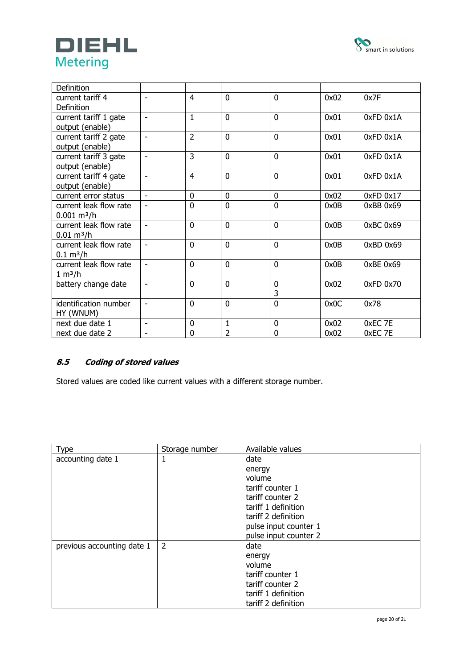



| <b>Definition</b>      |                          |                |                |                |      |               |
|------------------------|--------------------------|----------------|----------------|----------------|------|---------------|
| current tariff 4       |                          | $\overline{4}$ | $\overline{0}$ | $\overline{0}$ | 0x02 | 0x7F          |
| Definition             |                          |                |                |                |      |               |
| current tariff 1 gate  | $\overline{\phantom{0}}$ | $\mathbf{1}$   | $\mathbf{0}$   | $\mathbf{0}$   | 0x01 | 0xFD 0x1A     |
| output (enable)        |                          |                |                |                |      |               |
| current tariff 2 gate  | $\overline{\phantom{0}}$ | $\overline{2}$ | $\mathbf{0}$   | $\mathbf 0$    | 0x01 | 0xFD 0x1A     |
| output (enable)        |                          |                |                |                |      |               |
| current tariff 3 gate  | ۰                        | 3              | $\overline{0}$ | $\overline{0}$ | 0x01 | $0xFD$ $0x1A$ |
| output (enable)        |                          |                |                |                |      |               |
| current tariff 4 gate  | ÷                        | $\overline{4}$ | $\overline{0}$ | $\mathbf 0$    | 0x01 | 0xFD 0x1A     |
| output (enable)        |                          |                |                |                |      |               |
| current error status   | $\overline{a}$           | 0              | $\mathbf{0}$   | 0              | 0x02 | 0xFD 0x17     |
| current leak flow rate | $\overline{\phantom{0}}$ | $\overline{0}$ | $\overline{0}$ | $\mathbf 0$    | 0x0B | 0xBB 0x69     |
| $0.001 \text{ m}^3/h$  |                          |                |                |                |      |               |
| current leak flow rate | ۰                        | $\overline{0}$ | $\overline{0}$ | $\overline{0}$ | 0x0B | 0xBC 0x69     |
| $0.01 \text{ m}^3/h$   |                          |                |                |                |      |               |
| current leak flow rate |                          | $\mathbf{0}$   | $\overline{0}$ | $\overline{0}$ | 0x0B | 0xBD 0x69     |
| $0.1 \text{ m}^3/h$    |                          |                |                |                |      |               |
| current leak flow rate | $\blacksquare$           | $\mathbf 0$    | $\mathbf 0$    | $\mathbf 0$    | 0x0B | 0xBE 0x69     |
| 1 m <sup>3</sup> /h    |                          |                |                |                |      |               |
| battery change date    | $\overline{a}$           | $\mathbf{0}$   | $\overline{0}$ | $\mathbf 0$    | 0x02 | 0xFD 0x70     |
|                        |                          |                |                | 3              |      |               |
| identification number  | ÷                        | $\mathbf{0}$   | $\mathbf{0}$   | $\mathbf{0}$   | 0x0C | 0x78          |
| HY (WNUM)              |                          |                |                |                |      |               |
| next due date 1        | $\overline{\phantom{0}}$ | 0              | $\mathbf{1}$   | $\mathbf 0$    | 0x02 | 0xEC 7E       |
| next due date 2        | ۰                        | $\mathbf 0$    | $\overline{2}$ | $\mathbf 0$    | 0x02 | 0xEC 7E       |

# **8.5 Coding of stored values**

Stored values are coded like current values with a different storage number.

| <b>Type</b>                | Storage number | Available values      |
|----------------------------|----------------|-----------------------|
| accounting date 1          |                | date                  |
|                            |                | energy                |
|                            |                | volume                |
|                            |                | tariff counter 1      |
|                            |                | tariff counter 2      |
|                            |                | tariff 1 definition   |
|                            |                | tariff 2 definition   |
|                            |                | pulse input counter 1 |
|                            |                | pulse input counter 2 |
| previous accounting date 1 | 2              | date                  |
|                            |                | energy                |
|                            |                | volume                |
|                            |                | tariff counter 1      |
|                            |                | tariff counter 2      |
|                            |                | tariff 1 definition   |
|                            |                | tariff 2 definition   |